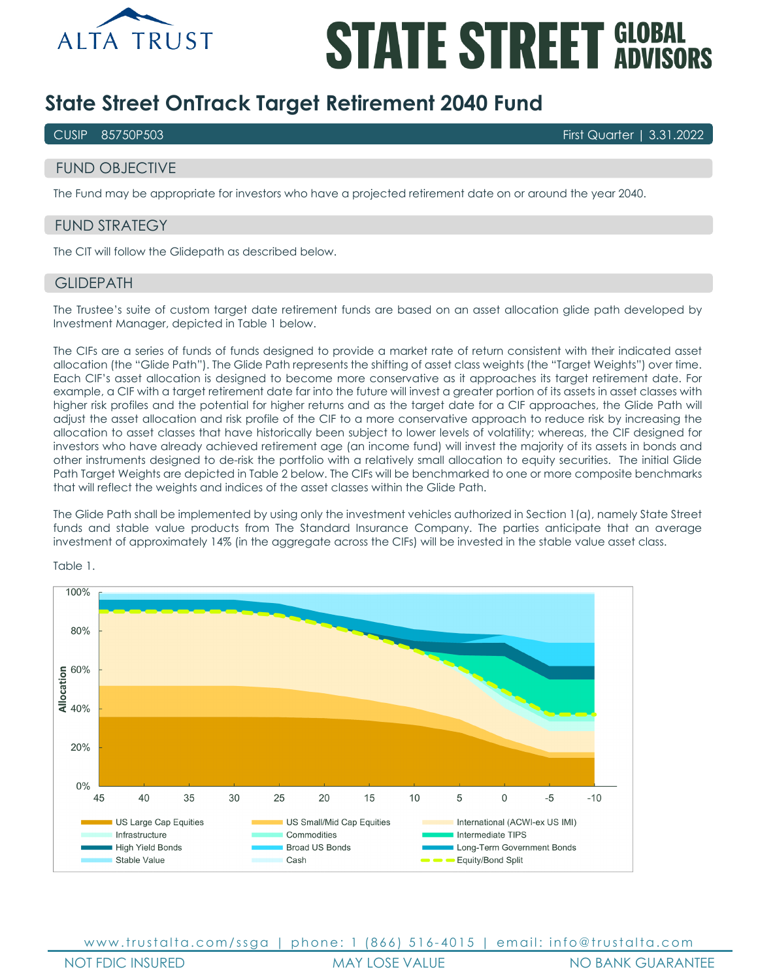

# **STATE STREET GLOBAL**

# **State Street OnTrack Target Retirement 2040 Fund**

CUSIP 85750P503 First Quarter | 3.31.2022

# FUND OBJECTIVE

The Fund may be appropriate for investors who have a projected retirement date on or around the year 2040.

# FUND STRATEGY

The CIT will follow the Glidepath as described below.

#### **GLIDEPATH**

The Trustee's suite of custom target date retirement funds are based on an asset allocation glide path developed by Investment Manager, depicted in Table 1 below.

The CIFs are a series of funds of funds designed to provide a market rate of return consistent with their indicated asset allocation (the "Glide Path"). The Glide Path represents the shifting of asset class weights (the "Target Weights") over time. Each CIF's asset allocation is designed to become more conservative as it approaches its target retirement date. For example, a CIF with a target retirement date far into the future will invest a greater portion of its assets in asset classes with higher risk profiles and the potential for higher returns and as the target date for a CIF approaches, the Glide Path will adjust the asset allocation and risk profile of the CIF to a more conservative approach to reduce risk by increasing the allocation to asset classes that have historically been subject to lower levels of volatility; whereas, the CIF designed for investors who have already achieved retirement age (an income fund) will invest the majority of its assets in bonds and other instruments designed to de-risk the portfolio with a relatively small allocation to equity securities. The initial Glide Path Target Weights are depicted in Table 2 below. The CIFs will be benchmarked to one or more composite benchmarks that will reflect the weights and indices of the asset classes within the Glide Path.

The Glide Path shall be implemented by using only the investment vehicles authorized in Section 1(a), namely State Street funds and stable value products from The Standard Insurance Company. The parties anticipate that an average investment of approximately 14% (in the aggregate across the CIFs) will be invested in the stable value asset class.



Table 1.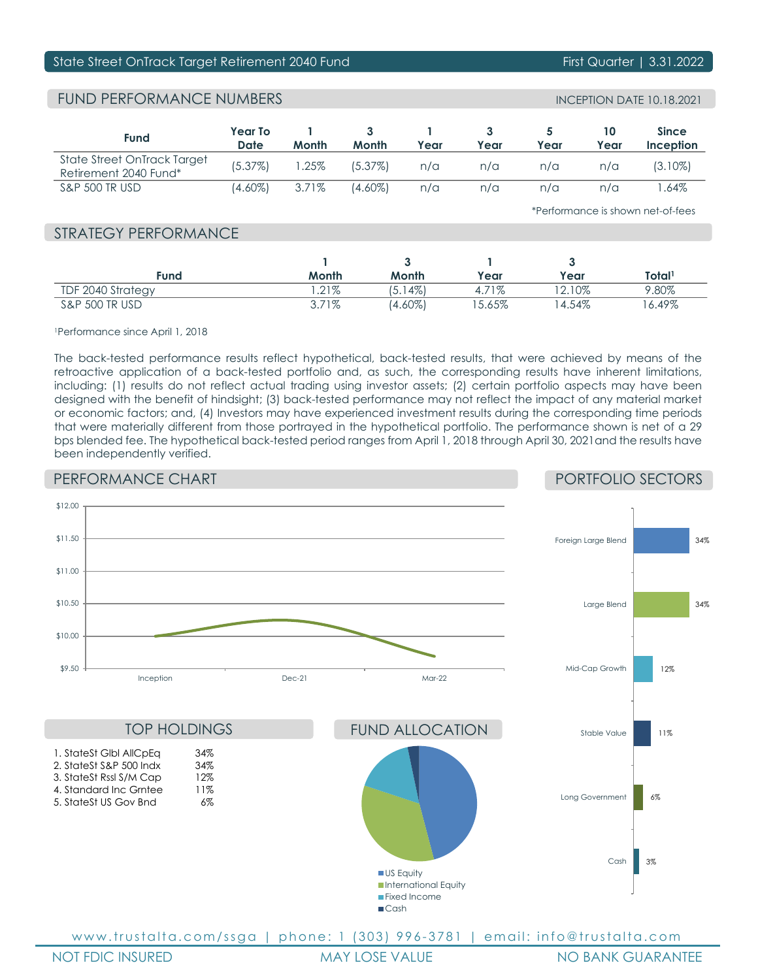### State Street OnTrack Target Retirement 2040 Fund First Communication First Quarter | 3.31.2022

# FUND PERFORMANCE NUMBERS

| <b>INCEPTION DATE 10.18.2021</b> |  |  |
|----------------------------------|--|--|
|----------------------------------|--|--|

| <b>Fund</b>                                          | <b>Year To</b><br>Date | Month    | Month   | Year | Year | Year | 10<br>Year | <b>Since</b><br>Inception |
|------------------------------------------------------|------------------------|----------|---------|------|------|------|------------|---------------------------|
| State Street OnTrack Target<br>Retirement 2040 Fund* | (5.37%)                | .25%     | (5.37%) | n/a  | n/a  | n/a  | n/a        | $(3.10\%)$                |
| <b>S&amp;P 500 TR USD</b>                            | $(4.60\%)$             | $3.71\%$ | (4.60%) | n/a  | n/a  | n/a  | n/a        | .64%                      |

\*Performance is shown net-of-fees

## STRATEGY PERFORMANCE

| Fund              | Month    | Month        | Year     | Year     | Total <sup>1</sup> |
|-------------------|----------|--------------|----------|----------|--------------------|
| TDF 2040 Strategy | $.21\%$  | (4%)<br>15.1 | 4.71%    | $2.10\%$ | 9.80%              |
| S&P 500 TR USD    | $3.71\%$ | (4.60%)      | $5.65\%$ | ' 4.54%  | '6.49%             |

1Performance since April 1, 2018

The back-tested performance results reflect hypothetical, back-tested results, that were achieved by means of the retroactive application of a back-tested portfolio and, as such, the corresponding results have inherent limitations, including: (1) results do not reflect actual trading using investor assets; (2) certain portfolio aspects may have been designed with the benefit of hindsight; (3) back-tested performance may not reflect the impact of any material market or economic factors; and, (4) Investors may have experienced investment results during the corresponding time periods that were materially different from those portrayed in the hypothetical portfolio. The performance shown is net of a 29 bps blended fee. The hypothetical back-tested period ranges from April 1, 2018 through April 30, 2021and the results have been independently verified.

# PERFORMANCE CHART

PORTFOLIO SECTORS

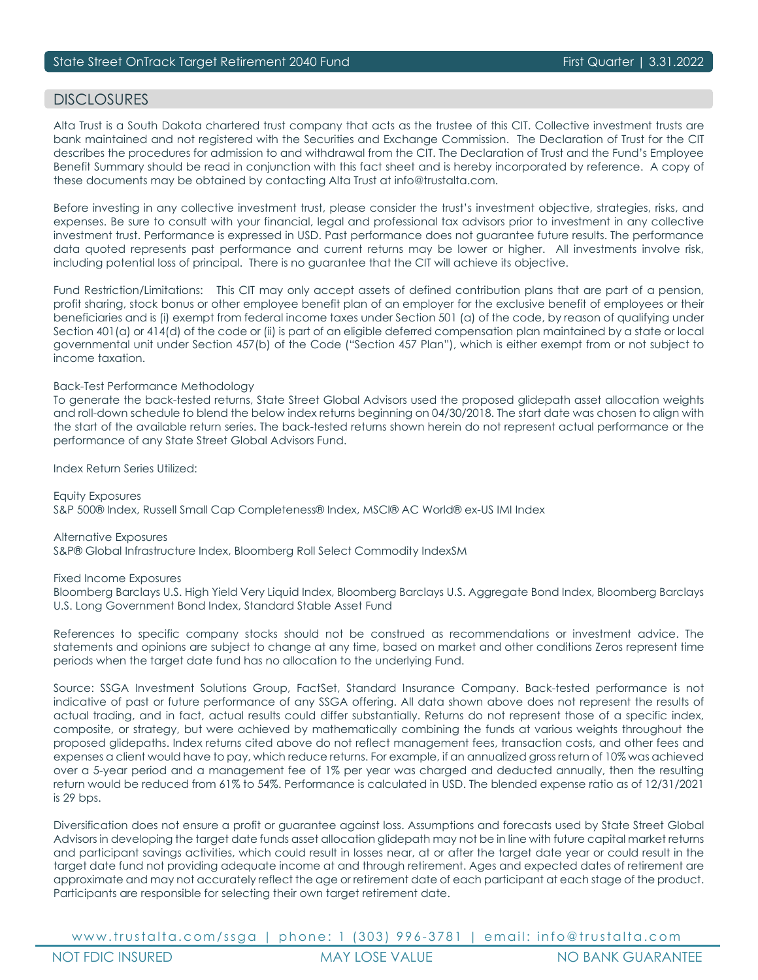### DISCI OSURES

Alta Trust is a South Dakota chartered trust company that acts as the trustee of this CIT. Collective investment trusts are bank maintained and not registered with the Securities and Exchange Commission. The Declaration of Trust for the CIT describes the procedures for admission to and withdrawal from the CIT. The Declaration of Trust and the Fund's Employee Benefit Summary should be read in conjunction with this fact sheet and is hereby incorporated by reference. A copy of these documents may be obtained by contacting Alta Trust at info@trustalta.com.

Before investing in any collective investment trust, please consider the trust's investment objective, strategies, risks, and expenses. Be sure to consult with your financial, legal and professional tax advisors prior to investment in any collective investment trust. Performance is expressed in USD. Past performance does not guarantee future results. The performance data quoted represents past performance and current returns may be lower or higher. All investments involve risk, including potential loss of principal. There is no guarantee that the CIT will achieve its objective.

Fund Restriction/Limitations: This CIT may only accept assets of defined contribution plans that are part of a pension, profit sharing, stock bonus or other employee benefit plan of an employer for the exclusive benefit of employees or their beneficiaries and is (i) exempt from federal income taxes under Section 501 (a) of the code, by reason of qualifying under Section 401(a) or 414(d) of the code or (ii) is part of an eligible deferred compensation plan maintained by a state or local governmental unit under Section 457(b) of the Code ("Section 457 Plan"), which is either exempt from or not subject to income taxation.

#### Back-Test Performance Methodology

To generate the back-tested returns, State Street Global Advisors used the proposed glidepath asset allocation weights and roll-down schedule to blend the below index returns beginning on 04/30/2018. The start date was chosen to align with the start of the available return series. The back-tested returns shown herein do not represent actual performance or the performance of any State Street Global Advisors Fund.

Index Return Series Utilized:

Equity Exposures S&P 500® Index, Russell Small Cap Completeness® Index, MSCI® AC World® ex-US IMI Index

Alternative Exposures S&P® Global Infrastructure Index, Bloomberg Roll Select Commodity IndexSM

Fixed Income Exposures

Bloomberg Barclays U.S. High Yield Very Liquid Index, Bloomberg Barclays U.S. Aggregate Bond Index, Bloomberg Barclays U.S. Long Government Bond Index, Standard Stable Asset Fund

References to specific company stocks should not be construed as recommendations or investment advice. The statements and opinions are subject to change at any time, based on market and other conditions Zeros represent time periods when the target date fund has no allocation to the underlying Fund.

Source: SSGA Investment Solutions Group, FactSet, Standard Insurance Company. Back-tested performance is not indicative of past or future performance of any SSGA offering. All data shown above does not represent the results of actual trading, and in fact, actual results could differ substantially. Returns do not represent those of a specific index, composite, or strategy, but were achieved by mathematically combining the funds at various weights throughout the proposed glidepaths. Index returns cited above do not reflect management fees, transaction costs, and other fees and expenses a client would have to pay, which reduce returns. For example, if an annualized gross return of 10% was achieved over a 5-year period and a management fee of 1% per year was charged and deducted annually, then the resulting return would be reduced from 61% to 54%. Performance is calculated in USD. The blended expense ratio as of 12/31/2021 is 29 bps.

Diversification does not ensure a profit or guarantee against loss. Assumptions and forecasts used by State Street Global Advisors in developing the target date funds asset allocation glidepath may not be in line with future capital market returns and participant savings activities, which could result in losses near, at or after the target date year or could result in the target date fund not providing adequate income at and through retirement. Ages and expected dates of retirement are approximate and may not accurately reflect the age or retirement date of each participant at each stage of the product. Participants are responsible for selecting their own target retirement date.

www.trustalta.com/ ssga | phone: 1 ( 303 ) 9 9 6 - 3781 | email: info@trustalta.com